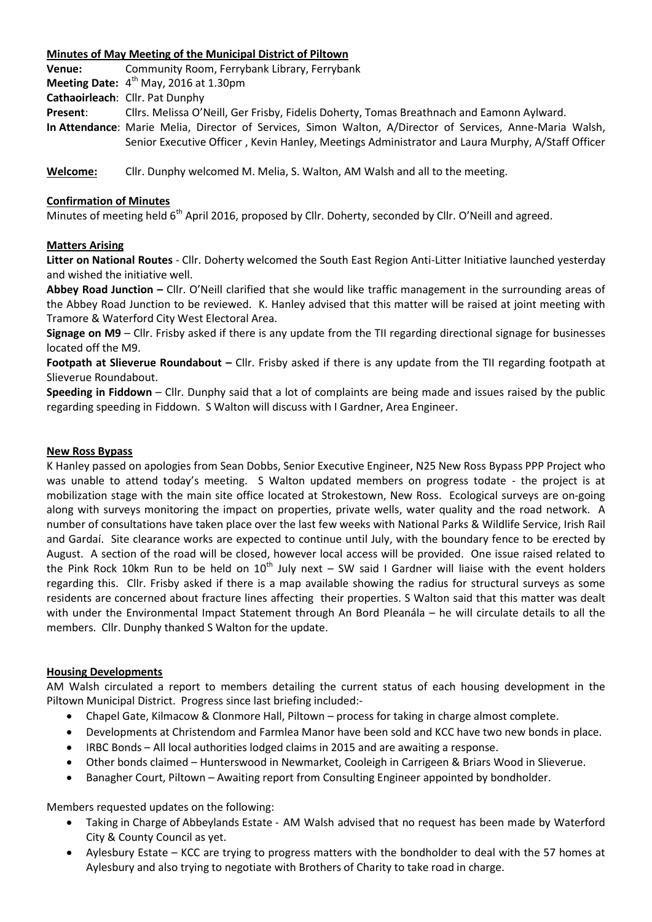### **Minutes of May Meeting of the Municipal District of Piltown**

**Venue:** Community Room, Ferrybank Library, Ferrybank

**Meeting Date:** 4<sup>th</sup> May, 2016 at 1.30pm

**Cathaoirleach**: Cllr. Pat Dunphy

**Present**: Cllrs. Melissa O'Neill, Ger Frisby, Fidelis Doherty, Tomas Breathnach and Eamonn Aylward.

**In Attendance**: Marie Melia, Director of Services, Simon Walton, A/Director of Services, Anne-Maria Walsh, Senior Executive Officer , Kevin Hanley, Meetings Administrator and Laura Murphy, A/Staff Officer

**Welcome:** Cllr. Dunphy welcomed M. Melia, S. Walton, AM Walsh and all to the meeting.

## **Confirmation of Minutes**

Minutes of meeting held 6<sup>th</sup> April 2016, proposed by Cllr. Doherty, seconded by Cllr. O'Neill and agreed.

### **Matters Arising**

**Litter on National Routes** - Cllr. Doherty welcomed the South East Region Anti-Litter Initiative launched yesterday and wished the initiative well.

**Abbey Road Junction –** Cllr. O'Neill clarified that she would like traffic management in the surrounding areas of the Abbey Road Junction to be reviewed. K. Hanley advised that this matter will be raised at joint meeting with Tramore & Waterford City West Electoral Area.

**Signage on M9** – Cllr. Frisby asked if there is any update from the TII regarding directional signage for businesses located off the M9.

**Footpath at Slieverue Roundabout –** Cllr. Frisby asked if there is any update from the TII regarding footpath at Slieverue Roundabout.

**Speeding in Fiddown** – Cllr. Dunphy said that a lot of complaints are being made and issues raised by the public regarding speeding in Fiddown. S Walton will discuss with I Gardner, Area Engineer.

#### **New Ross Bypass**

K Hanley passed on apologies from Sean Dobbs, Senior Executive Engineer, N25 New Ross Bypass PPP Project who was unable to attend today's meeting. S Walton updated members on progress todate - the project is at mobilization stage with the main site office located at Strokestown, New Ross. Ecological surveys are on-going along with surveys monitoring the impact on properties, private wells, water quality and the road network. A number of consultations have taken place over the last few weeks with National Parks & Wildlife Service, Irish Rail and Gardaí. Site clearance works are expected to continue until July, with the boundary fence to be erected by August. A section of the road will be closed, however local access will be provided. One issue raised related to the Pink Rock 10km Run to be held on  $10^{th}$  July next – SW said I Gardner will liaise with the event holders regarding this. Cllr. Frisby asked if there is a map available showing the radius for structural surveys as some residents are concerned about fracture lines affecting their properties. S Walton said that this matter was dealt with under the Environmental Impact Statement through An Bord Pleanála – he will circulate details to all the members. Cllr. Dunphy thanked S Walton for the update.

# **Housing Developments**

AM Walsh circulated a report to members detailing the current status of each housing development in the Piltown Municipal District. Progress since last briefing included:-

- Chapel Gate, Kilmacow & Clonmore Hall, Piltown process for taking in charge almost complete.
- Developments at Christendom and Farmlea Manor have been sold and KCC have two new bonds in place.
- IRBC Bonds All local authorities lodged claims in 2015 and are awaiting a response.
- Other bonds claimed Hunterswood in Newmarket, Cooleigh in Carrigeen & Briars Wood in Slieverue.
- Banagher Court, Piltown Awaiting report from Consulting Engineer appointed by bondholder.

Members requested updates on the following:

- Taking in Charge of Abbeylands Estate AM Walsh advised that no request has been made by Waterford City & County Council as yet.
- Aylesbury Estate KCC are trying to progress matters with the bondholder to deal with the 57 homes at Aylesbury and also trying to negotiate with Brothers of Charity to take road in charge.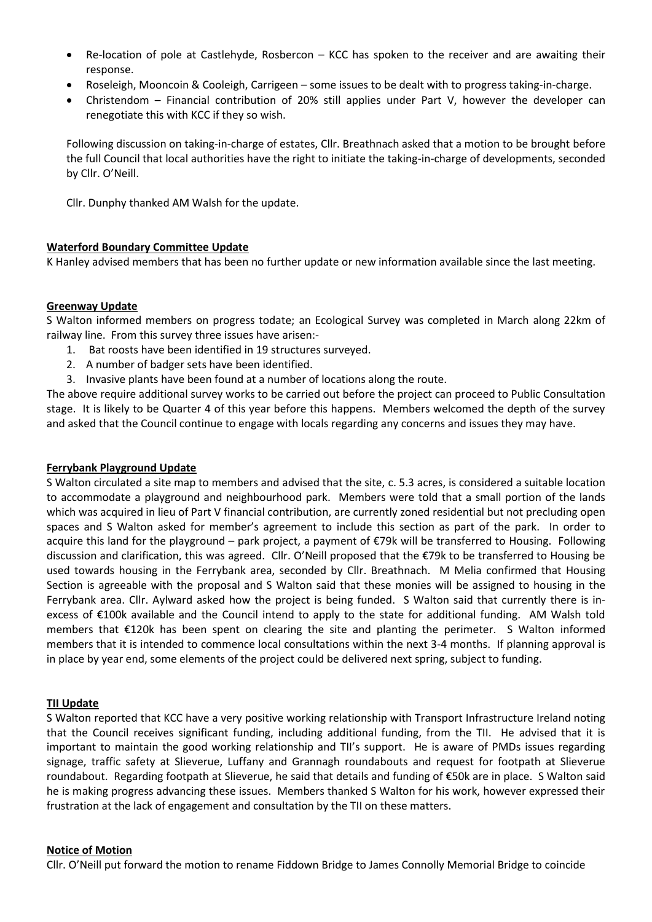- Re-location of pole at Castlehyde, Rosbercon KCC has spoken to the receiver and are awaiting their response.
- Roseleigh, Mooncoin & Cooleigh, Carrigeen some issues to be dealt with to progress taking-in-charge.
- Christendom Financial contribution of 20% still applies under Part V, however the developer can renegotiate this with KCC if they so wish.

Following discussion on taking-in-charge of estates, Cllr. Breathnach asked that a motion to be brought before the full Council that local authorities have the right to initiate the taking-in-charge of developments, seconded by Cllr. O'Neill.

Cllr. Dunphy thanked AM Walsh for the update.

### **Waterford Boundary Committee Update**

K Hanley advised members that has been no further update or new information available since the last meeting.

### **Greenway Update**

S Walton informed members on progress todate; an Ecological Survey was completed in March along 22km of railway line. From this survey three issues have arisen:-

- 1. Bat roosts have been identified in 19 structures surveyed.
- 2. A number of badger sets have been identified.
- 3. Invasive plants have been found at a number of locations along the route.

The above require additional survey works to be carried out before the project can proceed to Public Consultation stage. It is likely to be Quarter 4 of this year before this happens. Members welcomed the depth of the survey and asked that the Council continue to engage with locals regarding any concerns and issues they may have.

#### **Ferrybank Playground Update**

S Walton circulated a site map to members and advised that the site, c. 5.3 acres, is considered a suitable location to accommodate a playground and neighbourhood park. Members were told that a small portion of the lands which was acquired in lieu of Part V financial contribution, are currently zoned residential but not precluding open spaces and S Walton asked for member's agreement to include this section as part of the park. In order to acquire this land for the playground – park project, a payment of €79k will be transferred to Housing. Following discussion and clarification, this was agreed. Cllr. O'Neill proposed that the €79k to be transferred to Housing be used towards housing in the Ferrybank area, seconded by Cllr. Breathnach. M Melia confirmed that Housing Section is agreeable with the proposal and S Walton said that these monies will be assigned to housing in the Ferrybank area. Cllr. Aylward asked how the project is being funded. S Walton said that currently there is inexcess of €100k available and the Council intend to apply to the state for additional funding. AM Walsh told members that €120k has been spent on clearing the site and planting the perimeter. S Walton informed members that it is intended to commence local consultations within the next 3-4 months. If planning approval is in place by year end, some elements of the project could be delivered next spring, subject to funding.

#### **TII Update**

S Walton reported that KCC have a very positive working relationship with Transport Infrastructure Ireland noting that the Council receives significant funding, including additional funding, from the TII. He advised that it is important to maintain the good working relationship and TII's support. He is aware of PMDs issues regarding signage, traffic safety at Slieverue, Luffany and Grannagh roundabouts and request for footpath at Slieverue roundabout. Regarding footpath at Slieverue, he said that details and funding of €50k are in place. S Walton said he is making progress advancing these issues. Members thanked S Walton for his work, however expressed their frustration at the lack of engagement and consultation by the TII on these matters.

#### **Notice of Motion**

Cllr. O'Neill put forward the motion to rename Fiddown Bridge to James Connolly Memorial Bridge to coincide